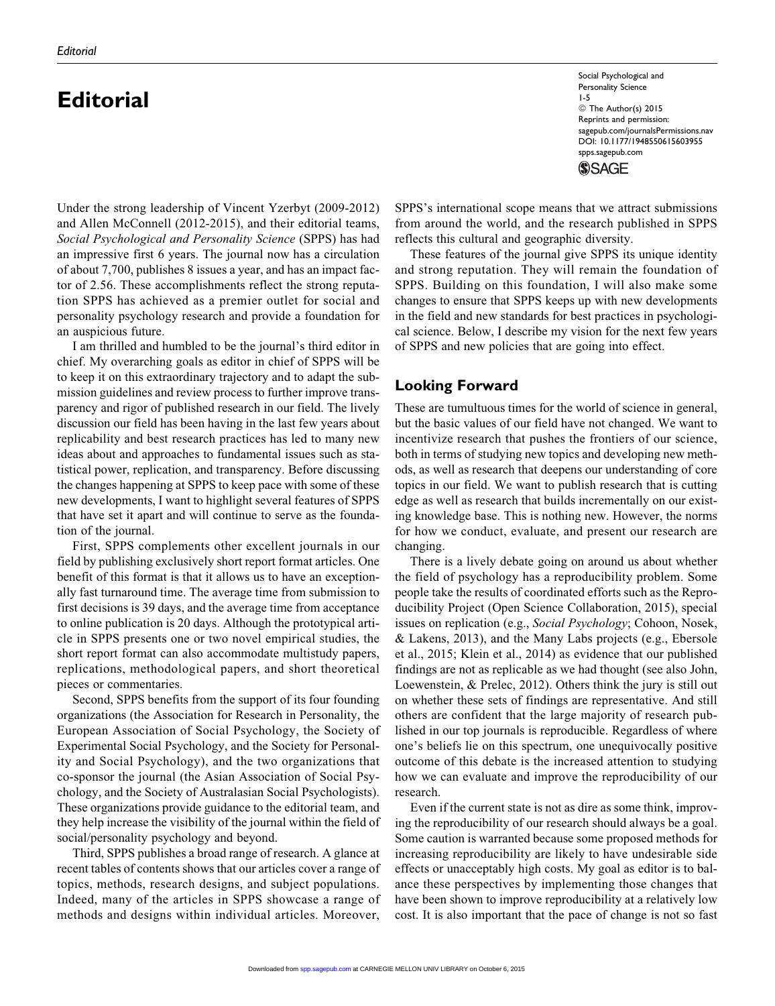# **Editorial**

Under the strong leadership of Vincent Yzerbyt (2009-2012) and Allen McConnell (2012-2015), and their editorial teams, Social Psychological and Personality Science (SPPS) has had an impressive first 6 years. The journal now has a circulation of about 7,700, publishes 8 issues a year, and has an impact factor of 2.56. These accomplishments reflect the strong reputation SPPS has achieved as a premier outlet for social and personality psychology research and provide a foundation for an auspicious future.

I am thrilled and humbled to be the journal's third editor in chief. My overarching goals as editor in chief of SPPS will be to keep it on this extraordinary trajectory and to adapt the submission guidelines and review process to further improve transparency and rigor of published research in our field. The lively discussion our field has been having in the last few years about replicability and best research practices has led to many new ideas about and approaches to fundamental issues such as statistical power, replication, and transparency. Before discussing the changes happening at SPPS to keep pace with some of these new developments, I want to highlight several features of SPPS that have set it apart and will continue to serve as the foundation of the journal.

First, SPPS complements other excellent journals in our field by publishing exclusively short report format articles. One benefit of this format is that it allows us to have an exceptionally fast turnaround time. The average time from submission to first decisions is 39 days, and the average time from acceptance to online publication is 20 days. Although the prototypical article in SPPS presents one or two novel empirical studies, the short report format can also accommodate multistudy papers, replications, methodological papers, and short theoretical pieces or commentaries.

Second, SPPS benefits from the support of its four founding organizations (the Association for Research in Personality, the European Association of Social Psychology, the Society of Experimental Social Psychology, and the Society for Personality and Social Psychology), and the two organizations that co-sponsor the journal (the Asian Association of Social Psychology, and the Society of Australasian Social Psychologists). These organizations provide guidance to the editorial team, and they help increase the visibility of the journal within the field of social/personality psychology and beyond.

Third, SPPS publishes a broad range of research. A glance at recent tables of contents shows that our articles cover a range of topics, methods, research designs, and subject populations. Indeed, many of the articles in SPPS showcase a range of methods and designs within individual articles. Moreover,

Social Psychological and Personality Science 1-5 © The Author(s) 2015 Reprints and permission: [sagepub.com/journalsPermissions.nav](http://www.sagepub.com/journalsPermissions.nav) DOI: 10.1177/1948550615603955 [spps.sagepub.com](http://spps.sagepub.com) **SSAGE** 

SPPS's international scope means that we attract submissions from around the world, and the research published in SPPS reflects this cultural and geographic diversity.

These features of the journal give SPPS its unique identity and strong reputation. They will remain the foundation of SPPS. Building on this foundation, I will also make some changes to ensure that SPPS keeps up with new developments in the field and new standards for best practices in psychological science. Below, I describe my vision for the next few years of SPPS and new policies that are going into effect.

## Looking Forward

These are tumultuous times for the world of science in general, but the basic values of our field have not changed. We want to incentivize research that pushes the frontiers of our science, both in terms of studying new topics and developing new methods, as well as research that deepens our understanding of core topics in our field. We want to publish research that is cutting edge as well as research that builds incrementally on our existing knowledge base. This is nothing new. However, the norms for how we conduct, evaluate, and present our research are changing.

There is a lively debate going on around us about whether the field of psychology has a reproducibility problem. Some people take the results of coordinated efforts such as the Reproducibility Project (Open Science Collaboration, 2015), special issues on replication (e.g., Social Psychology; Cohoon, Nosek, & Lakens, 2013), and the Many Labs projects (e.g., Ebersole et al., 2015; Klein et al., 2014) as evidence that our published findings are not as replicable as we had thought (see also John, Loewenstein, & Prelec, 2012). Others think the jury is still out on whether these sets of findings are representative. And still others are confident that the large majority of research published in our top journals is reproducible. Regardless of where one's beliefs lie on this spectrum, one unequivocally positive outcome of this debate is the increased attention to studying how we can evaluate and improve the reproducibility of our research.

Even if the current state is not as dire as some think, improving the reproducibility of our research should always be a goal. Some caution is warranted because some proposed methods for increasing reproducibility are likely to have undesirable side effects or unacceptably high costs. My goal as editor is to balance these perspectives by implementing those changes that have been shown to improve reproducibility at a relatively low cost. It is also important that the pace of change is not so fast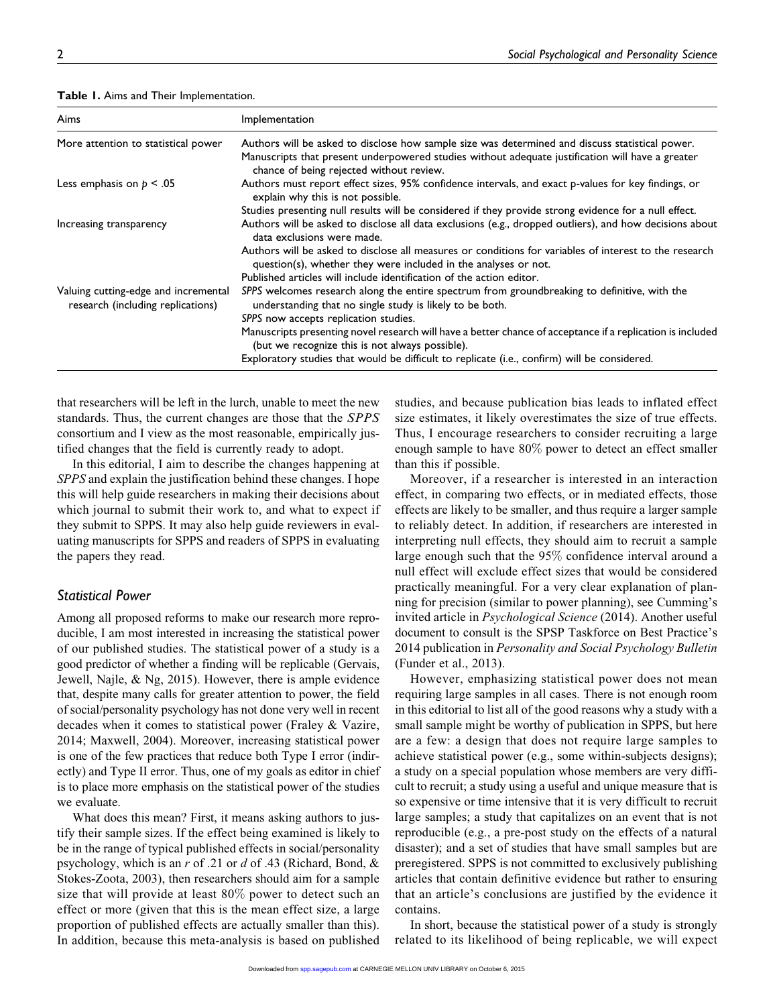| Aims                                                                      | Implementation                                                                                                                                                            |
|---------------------------------------------------------------------------|---------------------------------------------------------------------------------------------------------------------------------------------------------------------------|
| More attention to statistical power                                       | Authors will be asked to disclose how sample size was determined and discuss statistical power.                                                                           |
|                                                                           | Manuscripts that present underpowered studies without adequate justification will have a greater<br>chance of being rejected without review.                              |
| Less emphasis on $p < .05$                                                | Authors must report effect sizes, 95% confidence intervals, and exact p-values for key findings, or<br>explain why this is not possible.                                  |
|                                                                           | Studies presenting null results will be considered if they provide strong evidence for a null effect.                                                                     |
| Increasing transparency                                                   | Authors will be asked to disclose all data exclusions (e.g., dropped outliers), and how decisions about<br>data exclusions were made.                                     |
|                                                                           | Authors will be asked to disclose all measures or conditions for variables of interest to the research<br>question(s), whether they were included in the analyses or not. |
|                                                                           | Published articles will include identification of the action editor.                                                                                                      |
| Valuing cutting-edge and incremental<br>research (including replications) | SPPS welcomes research along the entire spectrum from groundbreaking to definitive, with the<br>understanding that no single study is likely to be both.                  |
|                                                                           | SPPS now accepts replication studies.                                                                                                                                     |
|                                                                           | Manuscripts presenting novel research will have a better chance of acceptance if a replication is included<br>(but we recognize this is not always possible).             |
|                                                                           | Exploratory studies that would be difficult to replicate (i.e., confirm) will be considered.                                                                              |

Table 1. Aims and Their Implementation.

that researchers will be left in the lurch, unable to meet the new standards. Thus, the current changes are those that the SPPS consortium and I view as the most reasonable, empirically justified changes that the field is currently ready to adopt.

In this editorial, I aim to describe the changes happening at SPPS and explain the justification behind these changes. I hope this will help guide researchers in making their decisions about which journal to submit their work to, and what to expect if they submit to SPPS. It may also help guide reviewers in evaluating manuscripts for SPPS and readers of SPPS in evaluating the papers they read.

#### Statistical Power

Among all proposed reforms to make our research more reproducible, I am most interested in increasing the statistical power of our published studies. The statistical power of a study is a good predictor of whether a finding will be replicable (Gervais, Jewell, Najle, & Ng, 2015). However, there is ample evidence that, despite many calls for greater attention to power, the field of social/personality psychology has not done very well in recent decades when it comes to statistical power (Fraley & Vazire, 2014; Maxwell, 2004). Moreover, increasing statistical power is one of the few practices that reduce both Type I error (indirectly) and Type II error. Thus, one of my goals as editor in chief is to place more emphasis on the statistical power of the studies we evaluate.

What does this mean? First, it means asking authors to justify their sample sizes. If the effect being examined is likely to be in the range of typical published effects in social/personality psychology, which is an  $r$  of .21 or  $d$  of .43 (Richard, Bond,  $\&$ Stokes-Zoota, 2003), then researchers should aim for a sample size that will provide at least 80% power to detect such an effect or more (given that this is the mean effect size, a large proportion of published effects are actually smaller than this). In addition, because this meta-analysis is based on published studies, and because publication bias leads to inflated effect size estimates, it likely overestimates the size of true effects. Thus, I encourage researchers to consider recruiting a large enough sample to have 80% power to detect an effect smaller than this if possible.

Moreover, if a researcher is interested in an interaction effect, in comparing two effects, or in mediated effects, those effects are likely to be smaller, and thus require a larger sample to reliably detect. In addition, if researchers are interested in interpreting null effects, they should aim to recruit a sample large enough such that the 95% confidence interval around a null effect will exclude effect sizes that would be considered practically meaningful. For a very clear explanation of planning for precision (similar to power planning), see Cumming's invited article in Psychological Science (2014). Another useful document to consult is the SPSP Taskforce on Best Practice's 2014 publication in Personality and Social Psychology Bulletin (Funder et al., 2013).

However, emphasizing statistical power does not mean requiring large samples in all cases. There is not enough room in this editorial to list all of the good reasons why a study with a small sample might be worthy of publication in SPPS, but here are a few: a design that does not require large samples to achieve statistical power (e.g., some within-subjects designs); a study on a special population whose members are very difficult to recruit; a study using a useful and unique measure that is so expensive or time intensive that it is very difficult to recruit large samples; a study that capitalizes on an event that is not reproducible (e.g., a pre-post study on the effects of a natural disaster); and a set of studies that have small samples but are preregistered. SPPS is not committed to exclusively publishing articles that contain definitive evidence but rather to ensuring that an article's conclusions are justified by the evidence it contains.

In short, because the statistical power of a study is strongly related to its likelihood of being replicable, we will expect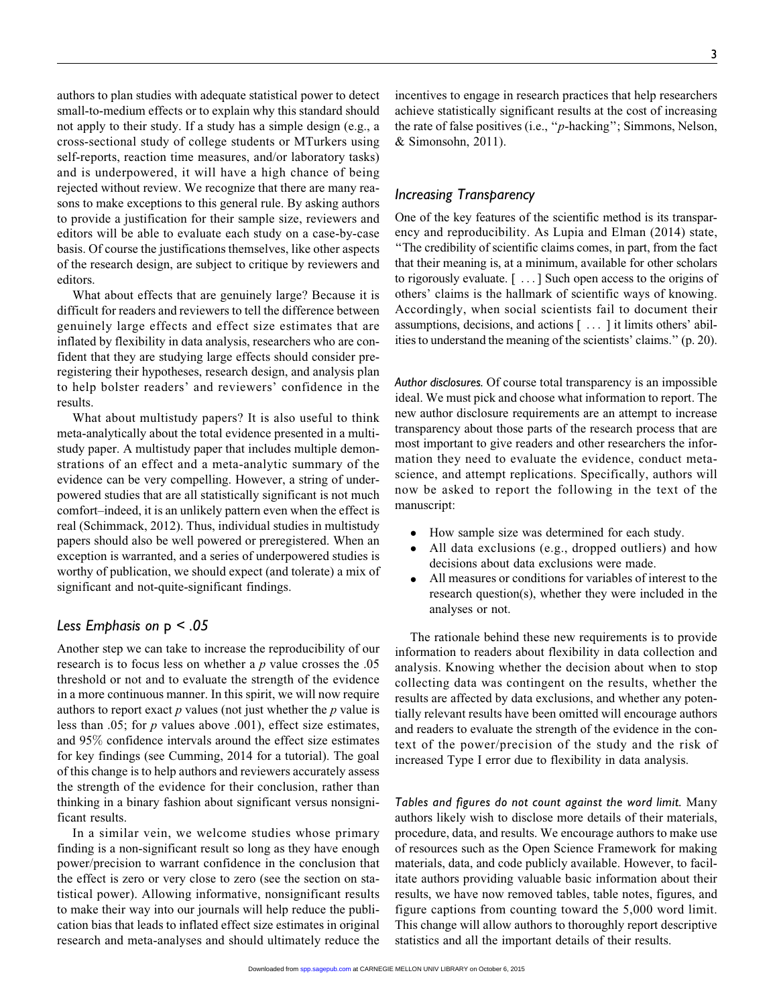authors to plan studies with adequate statistical power to detect small-to-medium effects or to explain why this standard should not apply to their study. If a study has a simple design (e.g., a cross-sectional study of college students or MTurkers using self-reports, reaction time measures, and/or laboratory tasks) and is underpowered, it will have a high chance of being rejected without review. We recognize that there are many reasons to make exceptions to this general rule. By asking authors to provide a justification for their sample size, reviewers and editors will be able to evaluate each study on a case-by-case basis. Of course the justifications themselves, like other aspects of the research design, are subject to critique by reviewers and editors.

What about effects that are genuinely large? Because it is difficult for readers and reviewers to tell the difference between genuinely large effects and effect size estimates that are inflated by flexibility in data analysis, researchers who are confident that they are studying large effects should consider preregistering their hypotheses, research design, and analysis plan to help bolster readers' and reviewers' confidence in the results.

What about multistudy papers? It is also useful to think meta-analytically about the total evidence presented in a multistudy paper. A multistudy paper that includes multiple demonstrations of an effect and a meta-analytic summary of the evidence can be very compelling. However, a string of underpowered studies that are all statistically significant is not much comfort–indeed, it is an unlikely pattern even when the effect is real (Schimmack, 2012). Thus, individual studies in multistudy papers should also be well powered or preregistered. When an exception is warranted, and a series of underpowered studies is worthy of publication, we should expect (and tolerate) a mix of significant and not-quite-significant findings.

## Less Emphasis on  $p < 0.05$

Another step we can take to increase the reproducibility of our research is to focus less on whether a  $p$  value crosses the .05 threshold or not and to evaluate the strength of the evidence in a more continuous manner. In this spirit, we will now require authors to report exact  $p$  values (not just whether the  $p$  value is less than .05; for  $p$  values above .001), effect size estimates, and 95% confidence intervals around the effect size estimates for key findings (see Cumming, 2014 for a tutorial). The goal of this change is to help authors and reviewers accurately assess the strength of the evidence for their conclusion, rather than thinking in a binary fashion about significant versus nonsignificant results.

In a similar vein, we welcome studies whose primary finding is a non-significant result so long as they have enough power/precision to warrant confidence in the conclusion that the effect is zero or very close to zero (see the section on statistical power). Allowing informative, nonsignificant results to make their way into our journals will help reduce the publication bias that leads to inflated effect size estimates in original research and meta-analyses and should ultimately reduce the

incentives to engage in research practices that help researchers achieve statistically significant results at the cost of increasing the rate of false positives (i.e., ''p-hacking''; Simmons, Nelson, & Simonsohn, 2011).

#### Increasing Transparency

One of the key features of the scientific method is its transparency and reproducibility. As Lupia and Elman (2014) state, ''The credibility of scientific claims comes, in part, from the fact that their meaning is, at a minimum, available for other scholars to rigorously evaluate. [ ...] Such open access to the origins of others' claims is the hallmark of scientific ways of knowing. Accordingly, when social scientists fail to document their assumptions, decisions, and actions [ ... ] it limits others' abilities to understand the meaning of the scientists' claims.'' (p. 20).

Author disclosures. Of course total transparency is an impossible ideal. We must pick and choose what information to report. The new author disclosure requirements are an attempt to increase transparency about those parts of the research process that are most important to give readers and other researchers the information they need to evaluate the evidence, conduct metascience, and attempt replications. Specifically, authors will now be asked to report the following in the text of the manuscript:

- How sample size was determined for each study.
- $\bullet$  All data exclusions (e.g., dropped outliers) and how decisions about data exclusions were made.
- $\bullet$  All measures or conditions for variables of interest to the research question(s), whether they were included in the analyses or not.

The rationale behind these new requirements is to provide information to readers about flexibility in data collection and analysis. Knowing whether the decision about when to stop collecting data was contingent on the results, whether the results are affected by data exclusions, and whether any potentially relevant results have been omitted will encourage authors and readers to evaluate the strength of the evidence in the context of the power/precision of the study and the risk of increased Type I error due to flexibility in data analysis.

Tables and figures do not count against the word limit. Many authors likely wish to disclose more details of their materials, procedure, data, and results. We encourage authors to make use of resources such as the Open Science Framework for making materials, data, and code publicly available. However, to facilitate authors providing valuable basic information about their results, we have now removed tables, table notes, figures, and figure captions from counting toward the 5,000 word limit. This change will allow authors to thoroughly report descriptive statistics and all the important details of their results.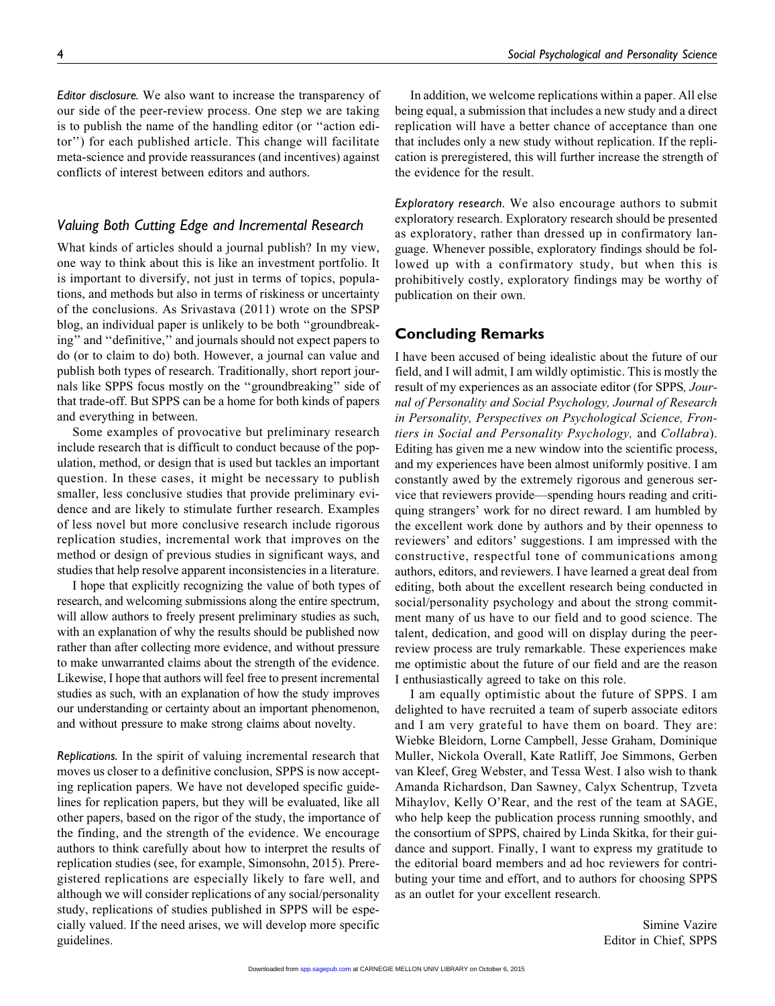Editor disclosure. We also want to increase the transparency of our side of the peer-review process. One step we are taking is to publish the name of the handling editor (or ''action editor'') for each published article. This change will facilitate meta-science and provide reassurances (and incentives) against conflicts of interest between editors and authors.

## Valuing Both Cutting Edge and Incremental Research

What kinds of articles should a journal publish? In my view, one way to think about this is like an investment portfolio. It is important to diversify, not just in terms of topics, populations, and methods but also in terms of riskiness or uncertainty of the conclusions. As Srivastava (2011) wrote on the SPSP blog, an individual paper is unlikely to be both ''groundbreaking'' and ''definitive,'' and journals should not expect papers to do (or to claim to do) both. However, a journal can value and publish both types of research. Traditionally, short report journals like SPPS focus mostly on the ''groundbreaking'' side of that trade-off. But SPPS can be a home for both kinds of papers and everything in between.

Some examples of provocative but preliminary research include research that is difficult to conduct because of the population, method, or design that is used but tackles an important question. In these cases, it might be necessary to publish smaller, less conclusive studies that provide preliminary evidence and are likely to stimulate further research. Examples of less novel but more conclusive research include rigorous replication studies, incremental work that improves on the method or design of previous studies in significant ways, and studies that help resolve apparent inconsistencies in a literature.

I hope that explicitly recognizing the value of both types of research, and welcoming submissions along the entire spectrum, will allow authors to freely present preliminary studies as such, with an explanation of why the results should be published now rather than after collecting more evidence, and without pressure to make unwarranted claims about the strength of the evidence. Likewise, I hope that authors will feel free to present incremental studies as such, with an explanation of how the study improves our understanding or certainty about an important phenomenon, and without pressure to make strong claims about novelty.

Replications. In the spirit of valuing incremental research that moves us closer to a definitive conclusion, SPPS is now accepting replication papers. We have not developed specific guidelines for replication papers, but they will be evaluated, like all other papers, based on the rigor of the study, the importance of the finding, and the strength of the evidence. We encourage authors to think carefully about how to interpret the results of replication studies (see, for example, Simonsohn, 2015). Preregistered replications are especially likely to fare well, and although we will consider replications of any social/personality study, replications of studies published in SPPS will be especially valued. If the need arises, we will develop more specific guidelines.

In addition, we welcome replications within a paper. All else being equal, a submission that includes a new study and a direct replication will have a better chance of acceptance than one that includes only a new study without replication. If the replication is preregistered, this will further increase the strength of the evidence for the result.

Exploratory research. We also encourage authors to submit exploratory research. Exploratory research should be presented as exploratory, rather than dressed up in confirmatory language. Whenever possible, exploratory findings should be followed up with a confirmatory study, but when this is prohibitively costly, exploratory findings may be worthy of publication on their own.

### Concluding Remarks

I have been accused of being idealistic about the future of our field, and I will admit, I am wildly optimistic. This is mostly the result of my experiences as an associate editor (for SPPS, Journal of Personality and Social Psychology, Journal of Research in Personality, Perspectives on Psychological Science, Frontiers in Social and Personality Psychology, and Collabra). Editing has given me a new window into the scientific process, and my experiences have been almost uniformly positive. I am constantly awed by the extremely rigorous and generous service that reviewers provide—spending hours reading and critiquing strangers' work for no direct reward. I am humbled by the excellent work done by authors and by their openness to reviewers' and editors' suggestions. I am impressed with the constructive, respectful tone of communications among authors, editors, and reviewers. I have learned a great deal from editing, both about the excellent research being conducted in social/personality psychology and about the strong commitment many of us have to our field and to good science. The talent, dedication, and good will on display during the peerreview process are truly remarkable. These experiences make me optimistic about the future of our field and are the reason I enthusiastically agreed to take on this role.

I am equally optimistic about the future of SPPS. I am delighted to have recruited a team of superb associate editors and I am very grateful to have them on board. They are: Wiebke Bleidorn, Lorne Campbell, Jesse Graham, Dominique Muller, Nickola Overall, Kate Ratliff, Joe Simmons, Gerben van Kleef, Greg Webster, and Tessa West. I also wish to thank Amanda Richardson, Dan Sawney, Calyx Schentrup, Tzveta Mihaylov, Kelly O'Rear, and the rest of the team at SAGE, who help keep the publication process running smoothly, and the consortium of SPPS, chaired by Linda Skitka, for their guidance and support. Finally, I want to express my gratitude to the editorial board members and ad hoc reviewers for contributing your time and effort, and to authors for choosing SPPS as an outlet for your excellent research.

> Simine Vazire Editor in Chief, SPPS